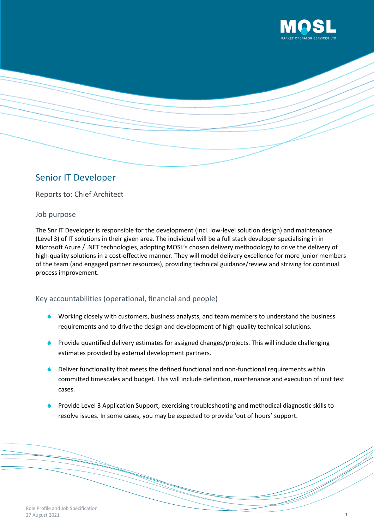

# Senior IT Developer

Reports to: Chief Architect

#### Job purpose

The Snr IT Developer is responsible for the development (incl. low-level solution design) and maintenance (Level 3) of IT solutions in their given area. The individual will be a full stack developer specialising in in Microsoft Azure / .NET technologies, adopting MOSL's chosen delivery methodology to drive the delivery of high-quality solutions in a cost-effective manner. They will model delivery excellence for more junior members of the team (and engaged partner resources), providing technical guidance/review and striving for continual process improvement.

### Key accountabilities (operational, financial and people)

- **Working closely with customers, business analysts, and team members to understand the business** requirements and to drive the design and development of high-quality technical solutions.
- Provide quantified delivery estimates for assigned changes/projects. This will include challenging estimates provided by external development partners.
- Deliver functionality that meets the defined functional and non-functional requirements within committed timescales and budget. This will include definition, maintenance and execution of unit test cases.
- Provide Level 3 Application Support, exercising troubleshooting and methodical diagnostic skills to resolve issues. In some cases, you may be expected to provide 'out of hours' support.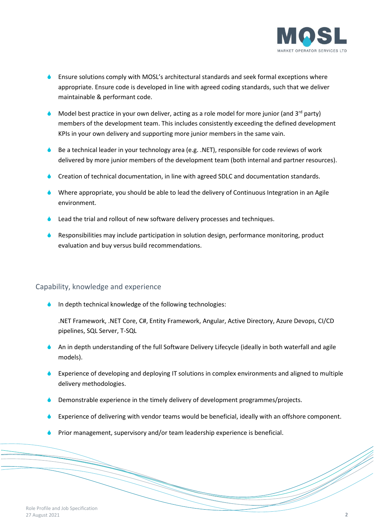

- **Ensure solutions comply with MOSL's architectural standards and seek formal exceptions where** appropriate. Ensure code is developed in line with agreed coding standards, such that we deliver maintainable & performant code.
- Model best practice in your own deliver, acting as a role model for more junior (and  $3<sup>rd</sup>$  party) members of the development team. This includes consistently exceeding the defined development KPIs in your own delivery and supporting more junior members in the same vain.
- Be a technical leader in your technology area (e.g. .NET), responsible for code reviews of work delivered by more junior members of the development team (both internal and partner resources).
- Creation of technical documentation, in line with agreed SDLC and documentation standards.
- Where appropriate, you should be able to lead the delivery of Continuous Integration in an Agile environment.
- Lead the trial and rollout of new software delivery processes and techniques.
- Responsibilities may include participation in solution design, performance monitoring, product evaluation and buy versus build recommendations.

#### Capability, knowledge and experience

In depth technical knowledge of the following technologies:

.NET Framework, .NET Core, C#, Entity Framework, Angular, Active Directory, Azure Devops, CI/CD pipelines, SQL Server, T-SQL

- An in depth understanding of the full Software Delivery Lifecycle (ideally in both waterfall and agile models).
- Experience of developing and deploying IT solutions in complex environments and aligned to multiple delivery methodologies.
- Demonstrable experience in the timely delivery of development programmes/projects.
- Experience of delivering with vendor teams would be beneficial, ideally with an offshore component.
- Prior management, supervisory and/or team leadership experience is beneficial.